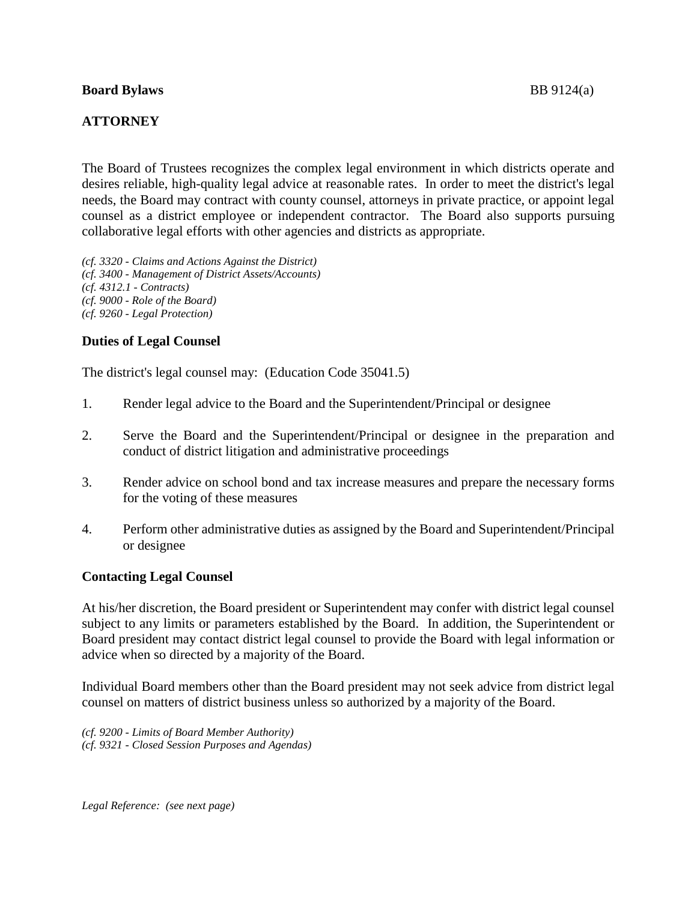#### **Board Bylaws** BB 9124(a)

# **ATTORNEY**

The Board of Trustees recognizes the complex legal environment in which districts operate and desires reliable, high-quality legal advice at reasonable rates. In order to meet the district's legal needs, the Board may contract with county counsel, attorneys in private practice, or appoint legal counsel as a district employee or independent contractor. The Board also supports pursuing collaborative legal efforts with other agencies and districts as appropriate.

*(cf. 3320 - Claims and Actions Against the District) (cf. 3400 - Management of District Assets/Accounts) (cf. 4312.1 - Contracts) (cf. 9000 - Role of the Board) (cf. 9260 - Legal Protection)*

# **Duties of Legal Counsel**

The district's legal counsel may: (Education Code 35041.5)

- 1. Render legal advice to the Board and the Superintendent/Principal or designee
- 2. Serve the Board and the Superintendent/Principal or designee in the preparation and conduct of district litigation and administrative proceedings
- 3. Render advice on school bond and tax increase measures and prepare the necessary forms for the voting of these measures
- 4. Perform other administrative duties as assigned by the Board and Superintendent/Principal or designee

## **Contacting Legal Counsel**

At his/her discretion, the Board president or Superintendent may confer with district legal counsel subject to any limits or parameters established by the Board. In addition, the Superintendent or Board president may contact district legal counsel to provide the Board with legal information or advice when so directed by a majority of the Board.

Individual Board members other than the Board president may not seek advice from district legal counsel on matters of district business unless so authorized by a majority of the Board.

*(cf. 9200 - Limits of Board Member Authority) (cf. 9321 - Closed Session Purposes and Agendas)*

*Legal Reference: (see next page)*